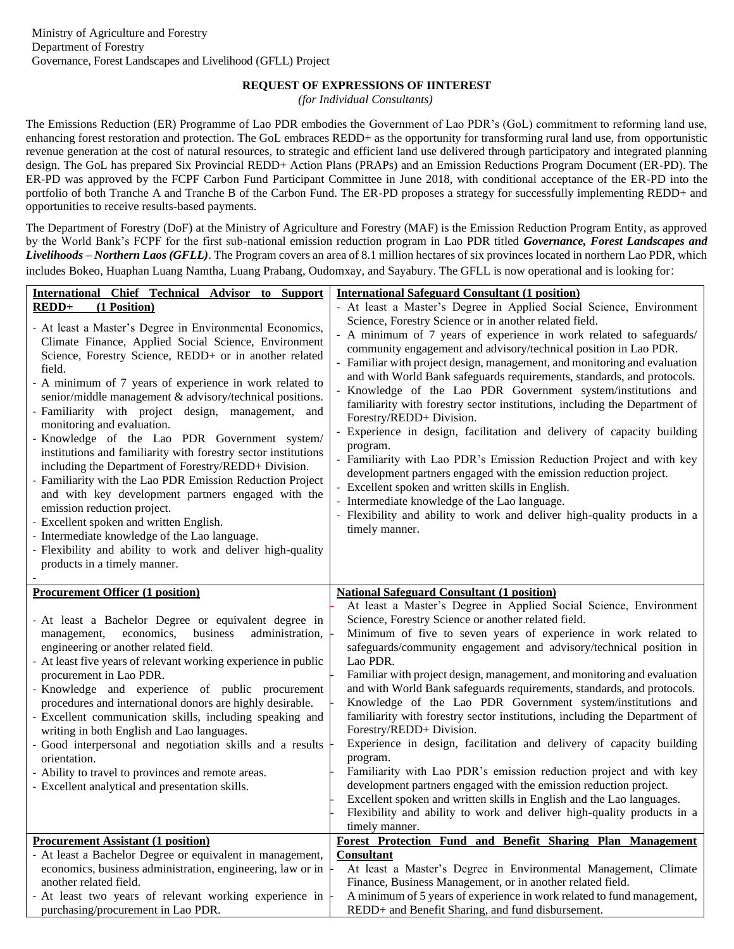## **REQUEST OF EXPRESSIONS OF IINTEREST**

*(for Individual Consultants)*

The Emissions Reduction (ER) Programme of Lao PDR embodies the Government of Lao PDR's (GoL) commitment to reforming land use, enhancing forest restoration and protection. The GoL embraces REDD+ as the opportunity for transforming rural land use, from opportunistic revenue generation at the cost of natural resources, to strategic and efficient land use delivered through participatory and integrated planning design. The GoL has prepared Six Provincial REDD+ Action Plans (PRAPs) and an Emission Reductions Program Document (ER-PD). The ER-PD was approved by the FCPF Carbon Fund Participant Committee in June 2018, with conditional acceptance of the ER-PD into the portfolio of both Tranche A and Tranche B of the Carbon Fund. The ER-PD proposes a strategy for successfully implementing REDD+ and opportunities to receive results-based payments.

The Department of Forestry (DoF) at the Ministry of Agriculture and Forestry (MAF) is the Emission Reduction Program Entity, as approved by the World Bank's FCPF for the first sub-national emission reduction program in Lao PDR titled *Governance, Forest Landscapes and Livelihoods – Northern Laos (GFLL)*. The Program covers an area of 8.1 million hectares of six provinces located in northern Lao PDR, which includes Bokeo, Huaphan Luang Namtha, Luang Prabang, Oudomxay, and Sayabury. The GFLL is now operational and is looking for:

| International Chief Technical Advisor to Support                                                                                                                                                                                                                                                                                                                                                                                                                                                                                                                                                                                                                                                                                                                                                                                                                                                                       | <b>International Safeguard Consultant (1 position)</b>                                                                                                                                                                                                                                                                                                                                                                                                                                                                                                                                                                                                                                                                                                                                                                                                                                                                                                                                                          |
|------------------------------------------------------------------------------------------------------------------------------------------------------------------------------------------------------------------------------------------------------------------------------------------------------------------------------------------------------------------------------------------------------------------------------------------------------------------------------------------------------------------------------------------------------------------------------------------------------------------------------------------------------------------------------------------------------------------------------------------------------------------------------------------------------------------------------------------------------------------------------------------------------------------------|-----------------------------------------------------------------------------------------------------------------------------------------------------------------------------------------------------------------------------------------------------------------------------------------------------------------------------------------------------------------------------------------------------------------------------------------------------------------------------------------------------------------------------------------------------------------------------------------------------------------------------------------------------------------------------------------------------------------------------------------------------------------------------------------------------------------------------------------------------------------------------------------------------------------------------------------------------------------------------------------------------------------|
| $REDD+$<br>(1 Position)                                                                                                                                                                                                                                                                                                                                                                                                                                                                                                                                                                                                                                                                                                                                                                                                                                                                                                | - At least a Master's Degree in Applied Social Science, Environment                                                                                                                                                                                                                                                                                                                                                                                                                                                                                                                                                                                                                                                                                                                                                                                                                                                                                                                                             |
| - At least a Master's Degree in Environmental Economics,<br>Climate Finance, Applied Social Science, Environment<br>Science, Forestry Science, REDD+ or in another related<br>field.<br>- A minimum of 7 years of experience in work related to<br>senior/middle management & advisory/technical positions.<br>- Familiarity with project design, management, and<br>monitoring and evaluation.<br>- Knowledge of the Lao PDR Government system/<br>institutions and familiarity with forestry sector institutions<br>including the Department of Forestry/REDD+ Division.<br>- Familiarity with the Lao PDR Emission Reduction Project<br>and with key development partners engaged with the<br>emission reduction project.<br>- Excellent spoken and written English.<br>- Intermediate knowledge of the Lao language.<br>- Flexibility and ability to work and deliver high-quality<br>products in a timely manner. | Science, Forestry Science or in another related field.<br>A minimum of 7 years of experience in work related to safeguards/<br>community engagement and advisory/technical position in Lao PDR.<br>- Familiar with project design, management, and monitoring and evaluation<br>and with World Bank safeguards requirements, standards, and protocols.<br>Knowledge of the Lao PDR Government system/institutions and<br>familiarity with forestry sector institutions, including the Department of<br>Forestry/REDD+ Division.<br>- Experience in design, facilitation and delivery of capacity building<br>program.<br>- Familiarity with Lao PDR's Emission Reduction Project and with key<br>development partners engaged with the emission reduction project.<br>- Excellent spoken and written skills in English.<br>- Intermediate knowledge of the Lao language.<br>- Flexibility and ability to work and deliver high-quality products in a<br>timely manner.                                          |
| <b>Procurement Officer (1 position)</b>                                                                                                                                                                                                                                                                                                                                                                                                                                                                                                                                                                                                                                                                                                                                                                                                                                                                                | <b>National Safeguard Consultant (1 position)</b>                                                                                                                                                                                                                                                                                                                                                                                                                                                                                                                                                                                                                                                                                                                                                                                                                                                                                                                                                               |
| - At least a Bachelor Degree or equivalent degree in<br>economics,<br>business<br>administration,<br>management,<br>engineering or another related field.<br>- At least five years of relevant working experience in public<br>procurement in Lao PDR.<br>- Knowledge and experience of public procurement<br>procedures and international donors are highly desirable.<br>- Excellent communication skills, including speaking and<br>writing in both English and Lao languages.<br>- Good interpersonal and negotiation skills and a results<br>orientation.<br>- Ability to travel to provinces and remote areas.<br>- Excellent analytical and presentation skills.                                                                                                                                                                                                                                                | At least a Master's Degree in Applied Social Science, Environment<br>Science, Forestry Science or another related field.<br>Minimum of five to seven years of experience in work related to<br>safeguards/community engagement and advisory/technical position in<br>Lao PDR.<br>Familiar with project design, management, and monitoring and evaluation<br>and with World Bank safeguards requirements, standards, and protocols.<br>Knowledge of the Lao PDR Government system/institutions and<br>familiarity with forestry sector institutions, including the Department of<br>Forestry/REDD+ Division.<br>Experience in design, facilitation and delivery of capacity building<br>program.<br>Familiarity with Lao PDR's emission reduction project and with key<br>development partners engaged with the emission reduction project.<br>Excellent spoken and written skills in English and the Lao languages.<br>Flexibility and ability to work and deliver high-quality products in a<br>timely manner. |
| <b>Procurement Assistant (1 position)</b>                                                                                                                                                                                                                                                                                                                                                                                                                                                                                                                                                                                                                                                                                                                                                                                                                                                                              | Forest Protection Fund and Benefit Sharing Plan Management                                                                                                                                                                                                                                                                                                                                                                                                                                                                                                                                                                                                                                                                                                                                                                                                                                                                                                                                                      |
| - At least a Bachelor Degree or equivalent in management,<br>economics, business administration, engineering, law or in<br>another related field.<br>- At least two years of relevant working experience in<br>purchasing/procurement in Lao PDR.                                                                                                                                                                                                                                                                                                                                                                                                                                                                                                                                                                                                                                                                      | <b>Consultant</b><br>At least a Master's Degree in Environmental Management, Climate<br>Finance, Business Management, or in another related field.<br>A minimum of 5 years of experience in work related to fund management,<br>REDD+ and Benefit Sharing, and fund disbursement.                                                                                                                                                                                                                                                                                                                                                                                                                                                                                                                                                                                                                                                                                                                               |